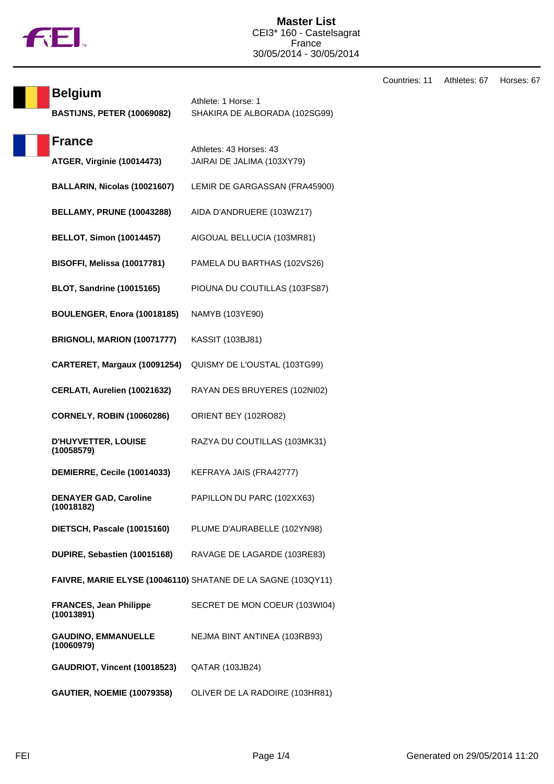

| <b>Belgium</b><br><b>BASTIJNS, PETER (10069082)</b> | Athlete: 1 Horse: 1<br>SHAKIRA DE ALBORADA (102SG99)         |
|-----------------------------------------------------|--------------------------------------------------------------|
| <b>France</b><br>ATGER, Virginie (10014473)         | Athletes: 43 Horses: 43<br>JAIRAI DE JALIMA (103XY79)        |
| BALLARIN, Nicolas (10021607)                        | LEMIR DE GARGASSAN (FRA45900)                                |
| <b>BELLAMY, PRUNE (10043288)</b>                    | AIDA D'ANDRUERE (103WZ17)                                    |
| <b>BELLOT, Simon (10014457)</b>                     | AIGOUAL BELLUCIA (103MR81)                                   |
| BISOFFI, Melissa (10017781)                         | PAMELA DU BARTHAS (102VS26)                                  |
| <b>BLOT, Sandrine (10015165)</b>                    | PIOUNA DU COUTILLAS (103FS87)                                |
| BOULENGER, Enora (10018185)                         | NAMYB (103YE90)                                              |
| BRIGNOLI, MARION (10071777)                         | KASSIT (103BJ81)                                             |
| CARTERET, Margaux (10091254)                        | QUISMY DE L'OUSTAL (103TG99)                                 |
| CERLATI, Aurelien (10021632)                        | RAYAN DES BRUYERES (102NI02)                                 |
| <b>CORNELY, ROBIN (10060286)</b>                    | ORIENT BEY (102RO82)                                         |
| D'HUYVETTER, LOUISE<br>(10058579)                   | RAZYA DU COUTILLAS (103MK31)                                 |
| DEMIERRE, Cecile (10014033)                         | KEFRAYA JAIS (FRA42777)                                      |
| <b>DENAYER GAD, Caroline</b><br>(10018182)          | PAPILLON DU PARC (102XX63)                                   |
| DIETSCH, Pascale (10015160)                         | PLUME D'AURABELLE (102YN98)                                  |
| DUPIRE, Sebastien (10015168)                        | RAVAGE DE LAGARDE (103RE83)                                  |
|                                                     | FAIVRE, MARIE ELYSE (10046110) SHATANE DE LA SAGNE (103QY11) |
| <b>FRANCES, Jean Philippe</b><br>(10013891)         | SECRET DE MON COEUR (103WI04)                                |
| <b>GAUDINO, EMMANUELLE</b><br>(10060979)            | NEJMA BINT ANTINEA (103RB93)                                 |
| GAUDRIOT, Vincent (10018523)                        | QATAR (103JB24)                                              |
| <b>GAUTIER, NOEMIE (10079358)</b>                   | OLIVER DE LA RADOIRE (103HR81)                               |

Countries: 11 Athletes: 67 Horses: 67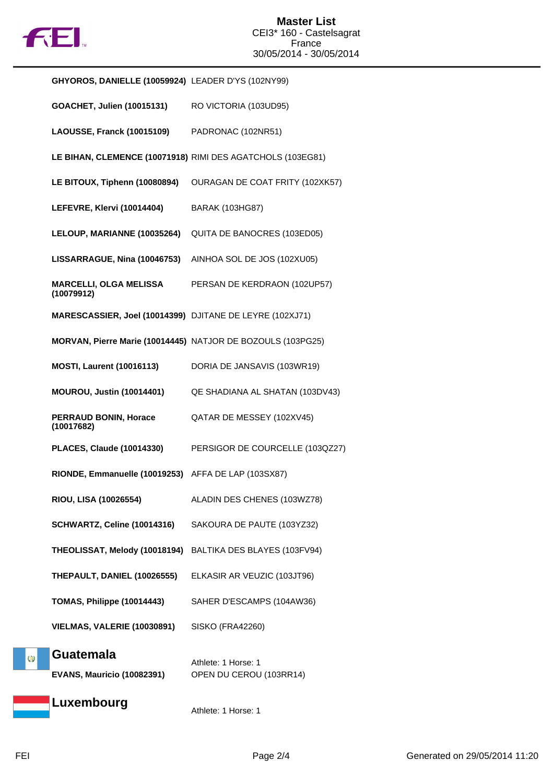

|   | GHYOROS, DANIELLE (10059924) LEADER D'YS (102NY99)          |                                                            |
|---|-------------------------------------------------------------|------------------------------------------------------------|
|   | <b>GOACHET, Julien (10015131)</b>                           | RO VICTORIA (103UD95)                                      |
|   | LAOUSSE, Franck (10015109)                                  | PADRONAC (102NR51)                                         |
|   |                                                             | LE BIHAN, CLEMENCE (10071918) RIMI DES AGATCHOLS (103EG81) |
|   | LE BITOUX, Tiphenn (10080894)                               | OURAGAN DE COAT FRITY (102XK57)                            |
|   | LEFEVRE, Klervi (10014404)                                  | <b>BARAK (103HG87)</b>                                     |
|   | LELOUP, MARIANNE (10035264)                                 | QUITA DE BANOCRES (103ED05)                                |
|   | LISSARRAGUE, Nina (10046753)                                | AINHOA SOL DE JOS (102XU05)                                |
|   | <b>MARCELLI, OLGA MELISSA</b><br>(10079912)                 | PERSAN DE KERDRAON (102UP57)                               |
|   | MARESCASSIER, Joel (10014399) DJITANE DE LEYRE (102XJ71)    |                                                            |
|   | MORVAN, Pierre Marie (10014445) NATJOR DE BOZOULS (103PG25) |                                                            |
|   | <b>MOSTI, Laurent (10016113)</b>                            | DORIA DE JANSAVIS (103WR19)                                |
|   | <b>MOUROU, Justin (10014401)</b>                            | QE SHADIANA AL SHATAN (103DV43)                            |
|   | PERRAUD BONIN, Horace<br>(10017682)                         | QATAR DE MESSEY (102XV45)                                  |
|   | <b>PLACES, Claude (10014330)</b>                            | PERSIGOR DE COURCELLE (103QZ27)                            |
|   | RIONDE, Emmanuelle (10019253) AFFA DE LAP (103SX87)         |                                                            |
|   | RIOU, LISA (10026554)                                       | ALADIN DES CHENES (103WZ78)                                |
|   | SCHWARTZ, Celine (10014316)                                 | SAKOURA DE PAUTE (103YZ32)                                 |
|   | THEOLISSAT, Melody (10018194)                               | BALTIKA DES BLAYES (103FV94)                               |
|   | THEPAULT, DANIEL (10026555)                                 | ELKASIR AR VEUZIC (103JT96)                                |
|   | TOMAS, Philippe (10014443)                                  | SAHER D'ESCAMPS (104AW36)                                  |
|   | VIELMAS, VALERIE (10030891)                                 | <b>SISKO (FRA42260)</b>                                    |
| Ø | <b>Guatemala</b><br><b>EVANS, Mauricio (10082391)</b>       | Athlete: 1 Horse: 1<br>OPEN DU CEROU (103RR14)             |
|   | Luxembourg                                                  | Athlete: 1 Horse: 1                                        |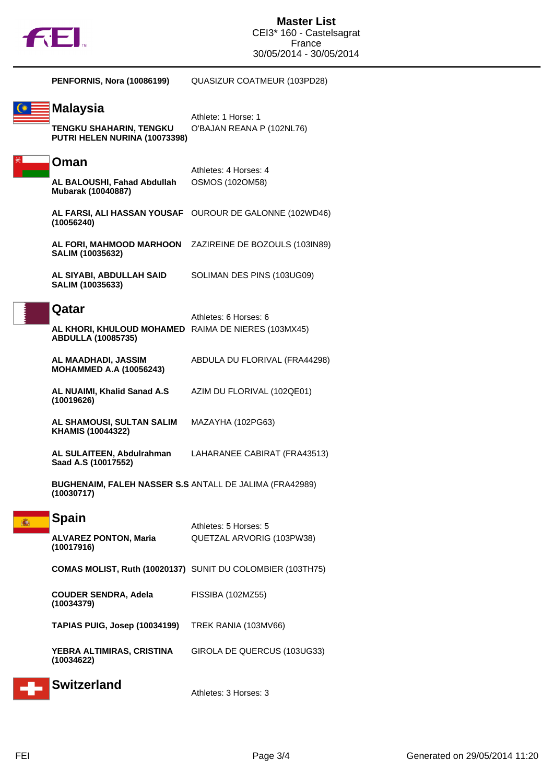

| <b>PENFORNIS, Nora (10086199)</b>                                                         | QUASIZUR COATMEUR (103PD28)                                |
|-------------------------------------------------------------------------------------------|------------------------------------------------------------|
| <b>Malaysia</b><br><b>TENGKU SHAHARIN, TENGKU</b><br>PUTRI HELEN NURINA (10073398)        | Athlete: 1 Horse: 1<br>O'BAJAN REANA P (102NL76)           |
| Oman<br>AL BALOUSHI, Fahad Abdullah<br>Mubarak (10040887)                                 | Athletes: 4 Horses: 4<br><b>OSMOS (102OM58)</b>            |
| (10056240)                                                                                | AL FARSI, ALI HASSAN YOUSAF OUROUR DE GALONNE (102WD46)    |
| AL FORI, MAHMOOD MARHOON<br>SALIM (10035632)                                              | ZAZIREINE DE BOZOULS (103IN89)                             |
| AL SIYABI, ABDULLAH SAID<br>SALIM (10035633)                                              | SOLIMAN DES PINS (103UG09)                                 |
| Qatar<br>AL KHORI, KHULOUD MOHAMED RAIMA DE NIERES (103MX45)<br><b>ABDULLA (10085735)</b> | Athletes: 6 Horses: 6                                      |
| AL MAADHADI, JASSIM<br><b>MOHAMMED A.A (10056243)</b>                                     | ABDULA DU FLORIVAL (FRA44298)                              |
| AL NUAIMI, Khalid Sanad A.S<br>(10019626)                                                 | AZIM DU FLORIVAL (102QE01)                                 |
| AL SHAMOUSI, SULTAN SALIM<br>KHAMIS (10044322)                                            | MAZAYHA (102PG63)                                          |
| AL SULAITEEN, Abdulrahman<br>Saad A.S (10017552)                                          | LAHARANEE CABIRAT (FRA43513)                               |
| <b>BUGHENAIM, FALEH NASSER S.S ANTALL DE JALIMA (FRA42989)</b><br>(10030717)              |                                                            |
| <b>Spain</b><br><b>ALVAREZ PONTON, Maria</b><br>(10017916)                                | Athletes: 5 Horses: 5<br>QUETZAL ARVORIG (103PW38)         |
|                                                                                           | COMAS MOLIST, Ruth (10020137) SUNIT DU COLOMBIER (103TH75) |
| <b>COUDER SENDRA, Adela</b><br>(10034379)                                                 | FISSIBA (102MZ55)                                          |
| <b>TAPIAS PUIG, Josep (10034199)</b>                                                      | TREK RANIA (103MV66)                                       |
| YEBRA ALTIMIRAS, CRISTINA<br>(10034622)                                                   | GIROLA DE QUERCUS (103UG33)                                |
| <b>Switzerland</b>                                                                        | Athletes: 3 Horses: 3                                      |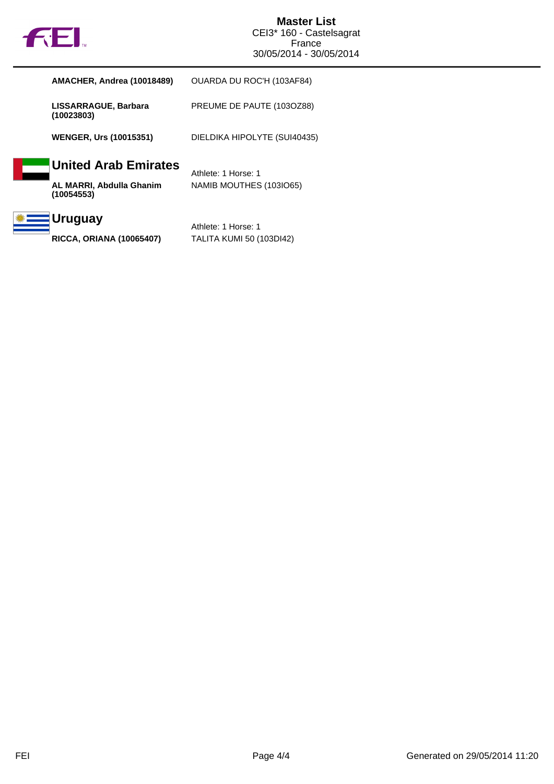

| <b>AMACHER, Andrea (10018489)</b>      | OUARDA DU ROC'H (103AF84)       |
|----------------------------------------|---------------------------------|
| LISSARRAGUE, Barbara<br>(10023803)     | PREUME DE PAUTE (1030Z88)       |
| <b>WENGER, Urs (10015351)</b>          | DIELDIKA HIPOLYTE (SUI40435)    |
| <b>United Arab Emirates</b>            | Athlete: 1 Horse: 1             |
| AL MARRI, Abdulla Ghanim<br>(10054553) | NAMIB MOUTHES (103IO65)         |
| <b>Uruguay</b>                         | Athlete: 1 Horse: 1             |
| <b>RICCA, ORIANA (10065407)</b>        | <b>TALITA KUMI 50 (103DI42)</b> |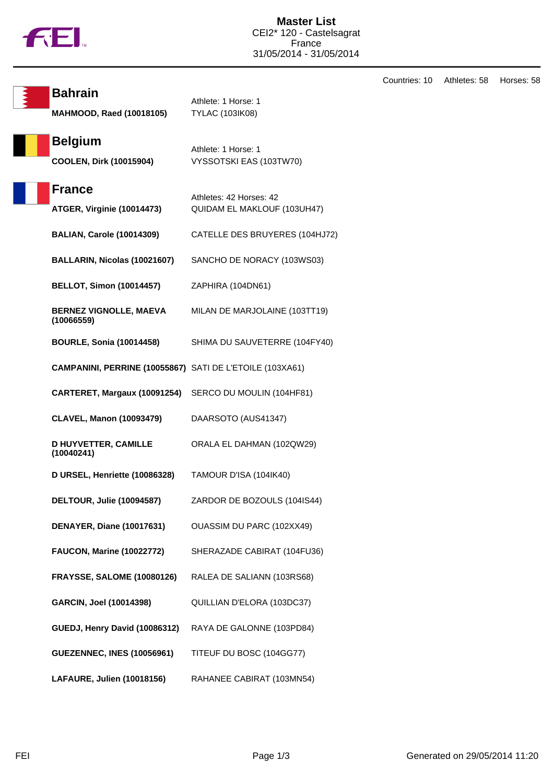

Countries: 10 Athletes: 58 Horses: 58 **Bahrain** Athlete: 1 Horse: 1 **MAHMOOD, Raed (10018105)** TYLAC (103IK08) **Belgium** Athlete: 1 Horse: 1 **COOLEN, Dirk (10015904)** VYSSOTSKI EAS (103TW70) **France** Athletes: 42 Horses: 42 **ATGER, Virginie (10014473)** QUIDAM EL MAKLOUF (103UH47) **BALIAN, Carole (10014309)** CATELLE DES BRUYERES (104HJ72) **BALLARIN, Nicolas (10021607)** SANCHO DE NORACY (103WS03) **BELLOT, Simon (10014457)** ZAPHIRA (104DN61) **BERNEZ VIGNOLLE, MAEVA (10066559)** MILAN DE MARJOLAINE (103TT19) **BOURLE, Sonia (10014458)** SHIMA DU SAUVETERRE (104FY40) **CAMPANINI, PERRINE (10055867)** SATI DE L'ETOILE (103XA61) **CARTERET, Margaux (10091254)** SERCO DU MOULIN (104HF81) **CLAVEL, Manon (10093479)** DAARSOTO (AUS41347) **D HUYVETTER, CAMILLE (10040241)** ORALA EL DAHMAN (102QW29) **D URSEL, Henriette (10086328)** TAMOUR D'ISA (104IK40) **DELTOUR, Julie (10094587)** ZARDOR DE BOZOULS (104IS44) **DENAYER, Diane (10017631)** OUASSIM DU PARC (102XX49) **FAUCON, Marine (10022772)** SHERAZADE CABIRAT (104FU36) **FRAYSSE, SALOME (10080126)** RALEA DE SALIANN (103RS68) **GARCIN, Joel (10014398)** QUILLIAN D'ELORA (103DC37) **GUEDJ, Henry David (10086312)** RAYA DE GALONNE (103PD84) **GUEZENNEC, INES (10056961)** TITEUF DU BOSC (104GG77) **LAFAURE, Julien (10018156)** RAHANEE CABIRAT (103MN54)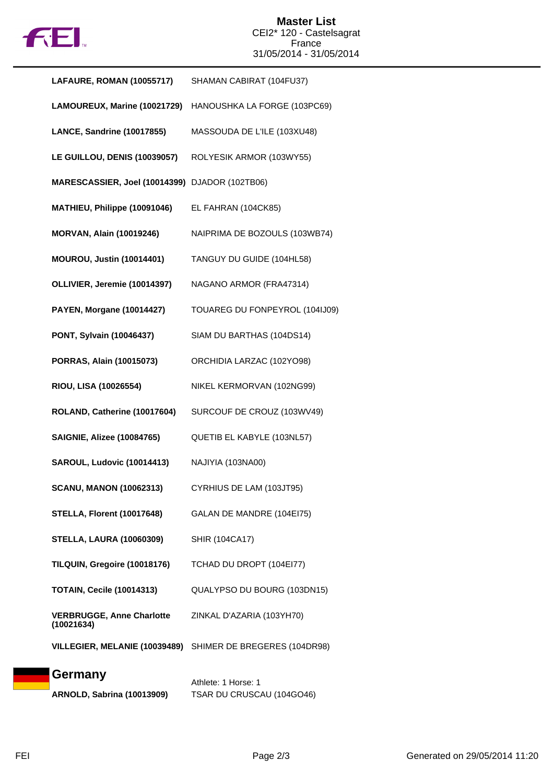

| LAFAURE, ROMAN (10055717)                      | SHAMAN CABIRAT (104FU37)       |
|------------------------------------------------|--------------------------------|
| LAMOUREUX, Marine (10021729)                   | HANOUSHKA LA FORGE (103PC69)   |
| LANCE, Sandrine (10017855)                     | MASSOUDA DE L'ILE (103XU48)    |
| LE GUILLOU, DENIS (10039057)                   | ROLYESIK ARMOR (103WY55)       |
| MARESCASSIER, Joel (10014399) DJADOR (102TB06) |                                |
| MATHIEU, Philippe (10091046)                   | EL FAHRAN (104CK85)            |
| <b>MORVAN, Alain (10019246)</b>                | NAIPRIMA DE BOZOULS (103WB74)  |
| <b>MOUROU, Justin (10014401)</b>               | TANGUY DU GUIDE (104HL58)      |
| OLLIVIER, Jeremie (10014397)                   | NAGANO ARMOR (FRA47314)        |
| <b>PAYEN, Morgane (10014427)</b>               | TOUAREG DU FONPEYROL (104IJ09) |
| PONT, Sylvain (10046437)                       | SIAM DU BARTHAS (104DS14)      |
| PORRAS, Alain (10015073)                       | ORCHIDIA LARZAC (102YO98)      |
| RIOU, LISA (10026554)                          | NIKEL KERMORVAN (102NG99)      |
| ROLAND, Catherine (10017604)                   | SURCOUF DE CROUZ (103WV49)     |
| <b>SAIGNIE, Alizee (10084765)</b>              | QUETIB EL KABYLE (103NL57)     |
| SAROUL, Ludovic (10014413)                     | NAJIYIA (103NA00)              |
| <b>SCANU, MANON (10062313)</b>                 | CYRHIUS DE LAM (103JT95)       |
| <b>STELLA, Florent (10017648)</b>              | GALAN DE MANDRE (104EI75)      |
| <b>STELLA, LAURA (10060309)</b>                | <b>SHIR (104CA17)</b>          |
| TILQUIN, Gregoire (10018176)                   | TCHAD DU DROPT (104EI77)       |
| <b>TOTAIN, Cecile (10014313)</b>               | QUALYPSO DU BOURG (103DN15)    |
| <b>VERBRUGGE, Anne Charlotte</b><br>(10021634) | ZINKAL D'AZARIA (103YH70)      |
| VILLEGIER, MELANIE (10039489)                  | SHIMER DE BREGERES (104DR98)   |
| Germany                                        | Athlete: 1 Horse: 1            |
| <b>ARNOLD, Sabrina (10013909)</b>              | TSAR DU CRUSCAU (104GO46)      |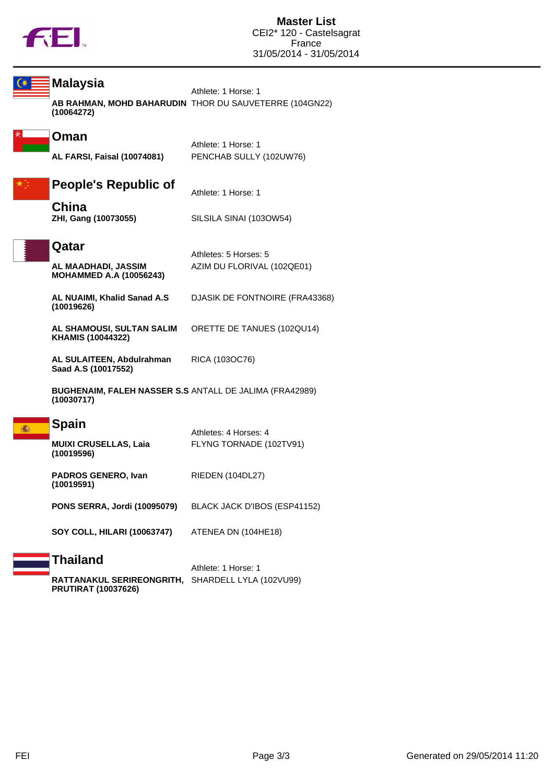

| <b>Malaysia</b>                                                              | Athlete: 1 Horse: 1                                    |
|------------------------------------------------------------------------------|--------------------------------------------------------|
| (10064272)                                                                   | AB RAHMAN, MOHD BAHARUDIN THOR DU SAUVETERRE (104GN22) |
| Oman                                                                         | Athlete: 1 Horse: 1                                    |
| <b>AL FARSI, Faisal (10074081)</b>                                           | PENCHAB SULLY (102UW76)                                |
| <b>People's Republic of</b>                                                  | Athlete: 1 Horse: 1                                    |
| China<br>ZHI, Gang (10073055)                                                | SILSILA SINAI (1030W54)                                |
| Qatar                                                                        | Athletes: 5 Horses: 5                                  |
| AL MAADHADI, JASSIM<br><b>MOHAMMED A.A (10056243)</b>                        | AZIM DU FLORIVAL (102QE01)                             |
| AL NUAIMI, Khalid Sanad A.S<br>(10019626)                                    | DJASIK DE FONTNOIRE (FRA43368)                         |
| AL SHAMOUSI, SULTAN SALIM<br>KHAMIS (10044322)                               | ORETTE DE TANUES (102QU14)                             |
| AL SULAITEEN, Abdulrahman<br>Saad A.S (10017552)                             | RICA (103OC76)                                         |
| <b>BUGHENAIM, FALEH NASSER S.S ANTALL DE JALIMA (FRA42989)</b><br>(10030717) |                                                        |
| <b>Spain</b>                                                                 | Athletes: 4 Horses: 4                                  |
| <b>MUIXI CRUSELLAS, Laia</b><br>(10019596)                                   | FLYNG TORNADE (102TV91)                                |
| PADROS GENERO, Ivan<br>(10019591)                                            | RIEDEN (104DL27)                                       |
| PONS SERRA, Jordi (10095079)                                                 | BLACK JACK D'IBOS (ESP41152)                           |
| <b>SOY COLL, HILARI (10063747)</b>                                           | ATENEA DN (104HE18)                                    |
| <b>Thailand</b>                                                              | Athlete: 1 Horse: 1                                    |
| RATTANAKUL SERIREONGRITH, SHARDELL LYLA (102VU99)                            |                                                        |

**PRUTIRAT (10037626)**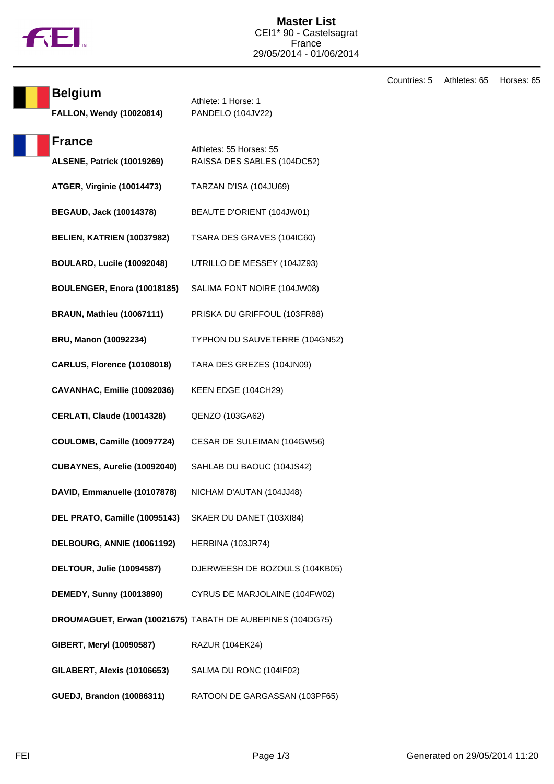

| <b>Belgium</b>                     | Athlete: 1 Horse: 1<br>PANDELO (104JV22)                   |  |
|------------------------------------|------------------------------------------------------------|--|
| FALLON, Wendy (10020814)           |                                                            |  |
| <b>France</b>                      | Athletes: 55 Horses: 55                                    |  |
| <b>ALSENE, Patrick (10019269)</b>  | RAISSA DES SABLES (104DC52)                                |  |
| ATGER, Virginie (10014473)         | TARZAN D'ISA (104JU69)                                     |  |
| <b>BEGAUD, Jack (10014378)</b>     | BEAUTE D'ORIENT (104JW01)                                  |  |
| BELIEN, KATRIEN (10037982)         | TSARA DES GRAVES (104IC60)                                 |  |
| BOULARD, Lucile (10092048)         | UTRILLO DE MESSEY (104JZ93)                                |  |
| BOULENGER, Enora (10018185)        | SALIMA FONT NOIRE (104JW08)                                |  |
| <b>BRAUN, Mathieu (10067111)</b>   | PRISKA DU GRIFFOUL (103FR88)                               |  |
| <b>BRU, Manon (10092234)</b>       | TYPHON DU SAUVETERRE (104GN52)                             |  |
| <b>CARLUS, Florence (10108018)</b> | TARA DES GREZES (104JN09)                                  |  |
| CAVANHAC, Emilie (10092036)        | KEEN EDGE (104CH29)                                        |  |
| <b>CERLATI, Claude (10014328)</b>  | QENZO (103GA62)                                            |  |
| COULOMB, Camille (10097724)        | CESAR DE SULEIMAN (104GW56)                                |  |
| CUBAYNES, Aurelie (10092040)       | SAHLAB DU BAOUC (104JS42)                                  |  |
| DAVID, Emmanuelle (10107878)       | NICHAM D'AUTAN (104JJ48)                                   |  |
| DEL PRATO, Camille (10095143)      | SKAER DU DANET (103XI84)                                   |  |
| DELBOURG, ANNIE (10061192)         | HERBINA (103JR74)                                          |  |
| <b>DELTOUR, Julie (10094587)</b>   | DJERWEESH DE BOZOULS (104KB05)                             |  |
| <b>DEMEDY, Sunny (10013890)</b>    | CYRUS DE MARJOLAINE (104FW02)                              |  |
|                                    | DROUMAGUET, Erwan (10021675) TABATH DE AUBEPINES (104DG75) |  |
| GIBERT, Meryl (10090587)           | <b>RAZUR (104EK24)</b>                                     |  |
| <b>GILABERT, Alexis (10106653)</b> | SALMA DU RONC (104IF02)                                    |  |
| <b>GUEDJ, Brandon (10086311)</b>   | RATOON DE GARGASSAN (103PF65)                              |  |

Countries: 5 Athletes: 65 Horses: 65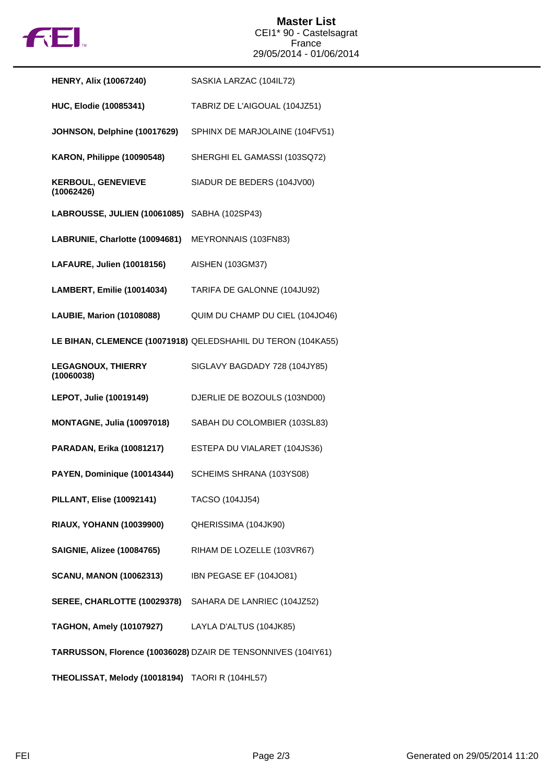

| <b>HENRY, Alix (10067240)</b>                   | SASKIA LARZAC (104IL72)                                       |
|-------------------------------------------------|---------------------------------------------------------------|
| <b>HUC, Elodie (10085341)</b>                   | TABRIZ DE L'AIGOUAL (104JZ51)                                 |
| JOHNSON, Delphine (10017629)                    | SPHINX DE MARJOLAINE (104FV51)                                |
| KARON, Philippe (10090548)                      | SHERGHI EL GAMASSI (103SQ72)                                  |
| <b>KERBOUL, GENEVIEVE</b><br>(10062426)         | SIADUR DE BEDERS (104JV00)                                    |
| LABROUSSE, JULIEN (10061085)                    | SABHA (102SP43)                                               |
| LABRUNIE, Charlotte (10094681)                  | MEYRONNAIS (103FN83)                                          |
| LAFAURE, Julien (10018156)                      | AISHEN (103GM37)                                              |
| <b>LAMBERT, Emilie (10014034)</b>               | TARIFA DE GALONNE (104JU92)                                   |
| <b>LAUBIE, Marion (10108088)</b>                | QUIM DU CHAMP DU CIEL (104JO46)                               |
|                                                 | LE BIHAN, CLEMENCE (10071918) QELEDSHAHIL DU TERON (104KA55)  |
| <b>LEGAGNOUX, THIERRY</b><br>(10060038)         | SIGLAVY BAGDADY 728 (104JY85)                                 |
| LEPOT, Julie (10019149)                         | DJERLIE DE BOZOULS (103ND00)                                  |
| <b>MONTAGNE, Julia (10097018)</b>               | SABAH DU COLOMBIER (103SL83)                                  |
| PARADAN, Erika (10081217)                       | ESTEPA DU VIALARET (104JS36)                                  |
| PAYEN, Dominique (10014344)                     | SCHEIMS SHRANA (103YS08)                                      |
| <b>PILLANT, Elise (10092141)</b>                | TACSO (104JJ54)                                               |
| <b>RIAUX, YOHANN (10039900)</b>                 | QHERISSIMA (104JK90)                                          |
| <b>SAIGNIE, Alizee (10084765)</b>               | RIHAM DE LOZELLE (103VR67)                                    |
| <b>SCANU, MANON (10062313)</b>                  | IBN PEGASE EF (104JO81)                                       |
| SEREE, CHARLOTTE (10029378)                     | SAHARA DE LANRIEC (104JZ52)                                   |
| <b>TAGHON, Amely (10107927)</b>                 | LAYLA D'ALTUS (104JK85)                                       |
|                                                 | TARRUSSON, Florence (10036028) DZAIR DE TENSONNIVES (104IY61) |
| THEOLISSAT, Melody (10018194) TAORI R (104HL57) |                                                               |